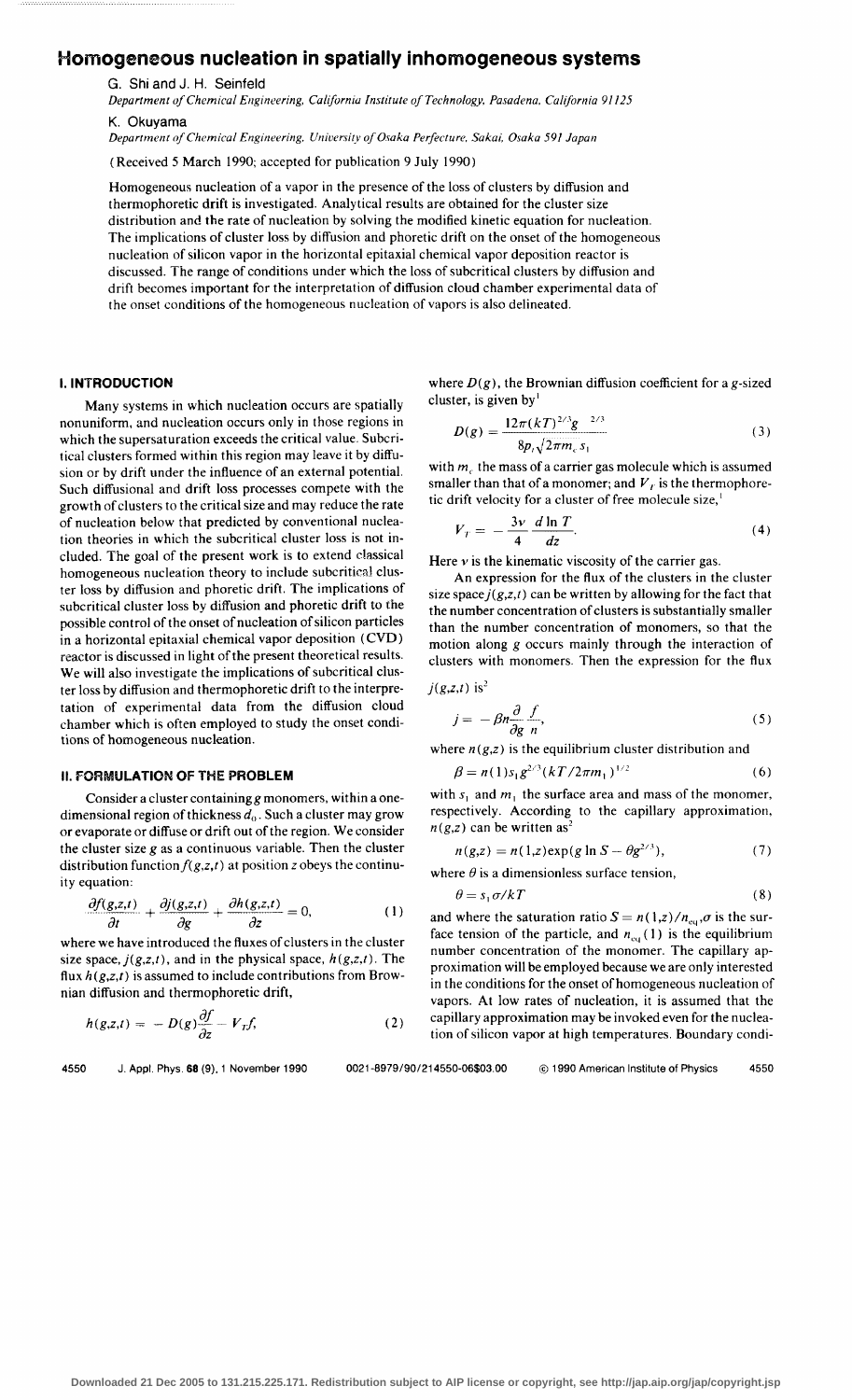# **Homogeneous nucleation in spatially inhomogeneous systems**

G. Shi and J. H. Seinfeld

*Department of Chemical Engineering. California Institute of Technology, Pasadena. Ca!tfornia 91125*  K. Okuyama

*Department of Chemical Engineering, University of Osaka Perfecture, Sakai, Osaka 591 Japan* 

(Received 5 March 1990; accepted for publication 9 July 1990)

Homogeneous nucleation of a vapor in the presence of the loss of clusters by diffusion and thermophoretic drift is investigated. Analytical results are obtained for the cluster size distribution and the rate of nucleation by solving the modified kinetic equation for nucleation. The implications of cluster loss by diffusion and phoretic drift on the onset of the homogeneous nucleation of silicon vapor in the horizontal epitaxial chemical vapor deposition reactor is discussed. The range of conditions under which the loss of subcritical clusters by diffusion and drift becomes important for the interpretation of diffusion cloud chamber experimental data of the onset conditions of the homogeneous nucleation of vapors is also delineated.

## **I. INTRODUCTION**

Many systems in which nucleation occurs are spatially nonuniform, and nucleation occurs only in those regions in which the supersaturation exceeds the critical value. Subcritical clusters formed within this region may leave it by diffusion or by drift under the influence of an external potential. Such diffusional and drift loss processes compete with the growth of clusters to the critical size and may reduce the rate of nucleation below that predicted by conventional nucleation theories in which the subcritical cluster loss is not included. The goal of the present work is to extend classical homogeneous nucleation theory to include subcritical cluster loss by diffusion and phoretic drift. The implications of subcritical cluster loss by diffusion and phoretic drift to the possible control of the onset of nucleation of silicon particles in a horizontal epitaxial chemical vapor deposition ( CVD) reactor is discussed in light of the present theoretical results. We will also investigate the implications of subcritical cluster loss by diffusion and thermophoretic drift to the interpretation of experimental data from the diffusion cloud chamber which is often employed to study the onset conditions of homogeneous nucleation.

# **II. fORMULATION OF THE PROBLEM**

Consider a cluster containingg monomers, within a onedimensional region of thickness  $d_0$ . Such a cluster may grow or evaporate or diffuse or drift out of the region. We consider the cluster size  $g$  as a continuous variable. Then the cluster distribution function  $f(g,z,t)$  at position *z* obeys the continuity equation:

$$
\frac{\partial f(g,z,t)}{\partial t} + \frac{\partial j(g,z,t)}{\partial g} + \frac{\partial h(g,z,t)}{\partial z} = 0, \tag{1}
$$

where we have introduced the fluxes of clusters in the cluster size space,  $j(g,z,t)$ , and in the physical space,  $h(g,z,t)$ . The flux  $h(g,z,t)$  is assumed to include contributions from Brownian diffusion and thermophoretic drift,

$$
h(g,z,t) = -D(g)\frac{\partial f}{\partial z} - V_T f, \qquad (2)
$$

where  $D(g)$ , the Brownian diffusion coefficient for a g-sized cluster, is given by $<sup>1</sup>$ </sup>

$$
D(g) = \frac{12\pi (kT)^{2/3}g^{-2/3}}{8p_r\sqrt{2\pi m_c s_1}}
$$
(3)

with *m,* the mass of a carrier gas molecule which is assumed smaller than that of a monomer; and  $V_T$  is the thermophoretic drift velocity for a cluster of free molecule size, $<sup>1</sup>$ </sup>

$$
V_T = -\frac{3v}{4} \frac{d \ln T}{dz}.
$$
 (4)

Here  $\nu$  is the kinematic viscosity of the carrier gas.

An expression for the flux of the clusters in the cluster size space  $j(g,z,t)$  can be written by allowing for the fact that the number concentration of clusters is substantially smaller than the number concentration of monomers, so that the motion along g occurs mainly through the interaction of clusters with monomers. Then the expression for the flux

*j(g,z,t)* is<sup>2</sup>

$$
j = -\beta n \frac{\partial}{\partial g} \frac{f}{n},\tag{5}
$$

where  $n(g,z)$  is the equilibrium cluster distribution and

$$
\beta = n(1)s_1 g^{2/3} (kT/2\pi m_1)^{1/2}
$$
 (6)

with  $s_1$  and  $m_1$  the surface area and mass of the monomer, respectively. According to the capillary approximation,  $n(g,z)$  can be written as<sup>2</sup>

$$
n(g,z) = n(1,z) \exp(g \ln S - \theta g^{2/3}), \qquad (7)
$$

where  $\theta$  is a dimensionless surface tension,

$$
\theta = s_1 \sigma / kT \tag{8}
$$

and where the saturation ratio  $S = n(1,z)/n_{eq}$ ,  $\sigma$  is the surface tension of the particle, and  $n_{eq}(1)$  is the equilibrium number concentration of the monomer. The capillary approximation will be employed because we are only interested in the conditions for the onset of homogeneous nucleation of vapors. At low rates of nucleation, it is assumed that the capillary approximation may be invoked even for the nucleation of silicon vapor at high temperatures. Boundary condi-

4550 J. Appl. Phys. **68** (9), 1 November 1990 0021-8979/90/214550-06\$03.00 © 1990 American Institute of Physics 4550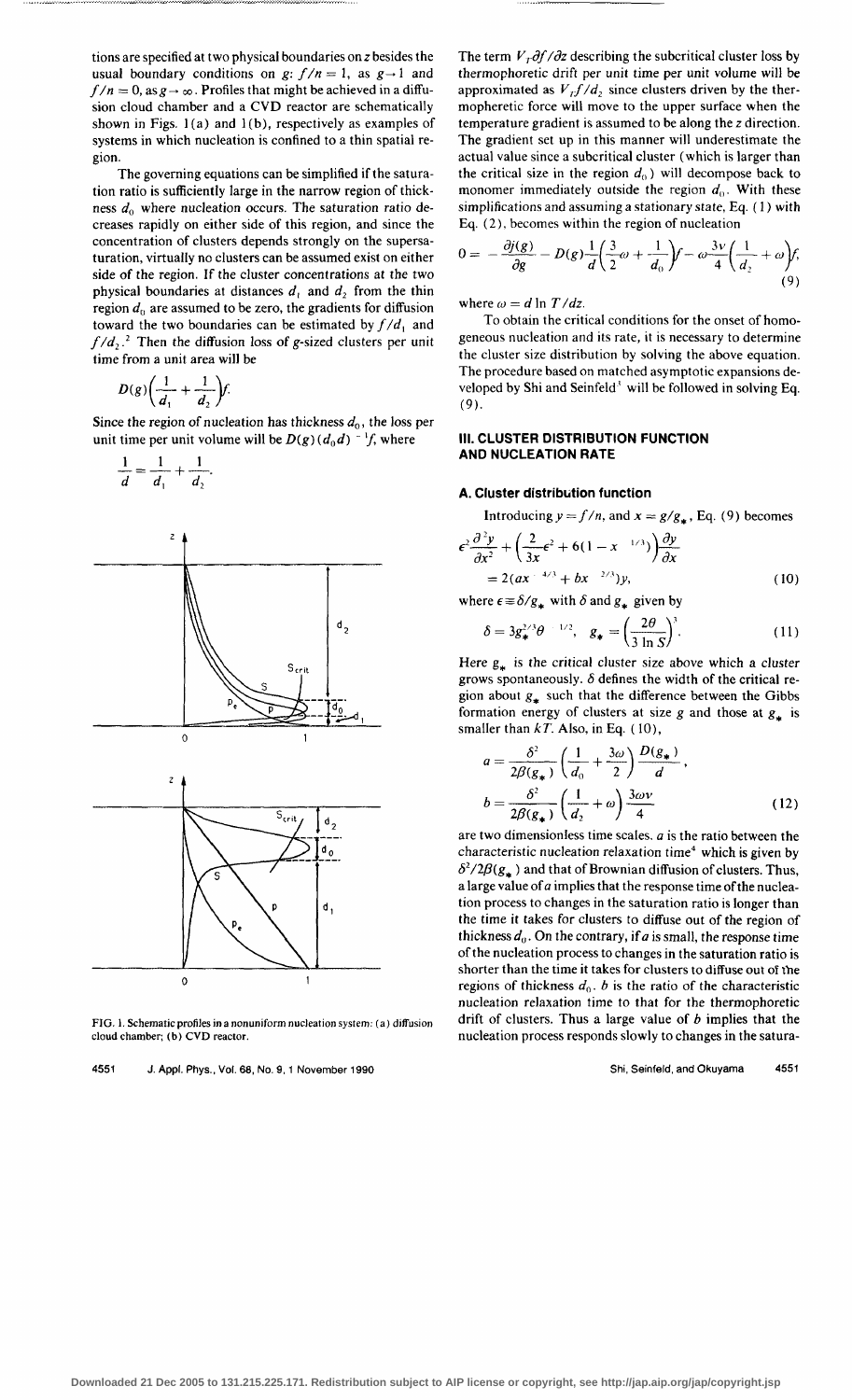tions are specified at two physical boundaries on *z* besides the usual boundary conditions on *g*:  $f/n = 1$ , as  $g \rightarrow 1$  and  $f/n = 0$ , as  $g \rightarrow \infty$ . Profiles that might be achieved in a diffusion cloud chamber and a CVD reactor are schematically shown in Figs.  $l(a)$  and  $l(b)$ , respectively as examples of systems in which nucleation is confined to a thin spatial region.

The governing equations can be simplified if the saturation ratio is sufficiently large in the narrow region of thickness  $d_0$  where nucleation occurs. The saturation ratio decreases rapidly on either side of this region, and since the concentration of clusters depends strongly on the supersaturation, virtually no clusters can be assumed exist on either side of the region. If the cluster concentrations at the two physical boundaries at distances  $d_1$  and  $d_2$  from the thin region  $d_0$  are assumed to be zero, the gradients for diffusion toward the two boundaries can be estimated by  $f/d_1$  and  $f/d_2$ .<sup>2</sup> Then the diffusion loss of g-sized clusters per unit time from a unit area will be

$$
D(g)\bigg(\frac{1}{d_1}+\frac{1}{d_2}\bigg)f.
$$

···~·---·.:.:.·.·········-'-······-·.·.·.·.·.·.·.·.·.·············-·.U:,.:•:.;.;.:.,;.·.···o'..:·"•"•"•"•"•".u;.y;.;.;.;.;,;u;.;.;.:.:.:.;.:.·.·.·.·.·.:.:.:.\_·.·.·:-;.;.;.;.;.;.;.;.;.;.;.;.;,;.;.;.;.;.:.;.-.·.···················

Since the region of nucleation has thickness  $d_0$ , the loss per unit time per unit volume will be  $D(g)$  ( $d_0 d$ )  $^{-1}f$ , where

$$
\frac{1}{d} = \frac{1}{d_1} + \frac{1}{d_2}.
$$



FIG. I. Schematic profiles in a nonuniform nucleation system: (a) diffusion cloud chamber; (b) CVD reactor.

4551 J. Appl. Phys., Vol. 68, No.9, 1 November 1990

The term  $V_r \partial f / \partial z$  describing the subcritical cluster loss by thermophoretic drift per unit time per unit volume will be approximated as  $V_f f/d_2$  since clusters driven by the thermopheretic force will move to the upper surface when the temperature gradient is assumed to be along the *z* direction. The gradient set up in this manner will underestimate the actual value since a subcritical cluster (which is larger than the critical size in the region  $d_0$ ) will decompose back to monomer immediately outside the region  $d_0$ . With these simplifications and assuming a stationary state, Eq. ( l) with Eq. ( 2), becomes within the region of nucleation

$$
0=-\frac{\partial j(g)}{\partial g}-D(g)\frac{1}{d}\left(\frac{3}{2}\omega+\frac{1}{d_0}\right)f-\omega\frac{3\nu}{4}\left(\frac{1}{d_2}+\omega\right)f,
$$
\n(9)

where  $\omega = d \ln T / dz$ .

To obtain the critical conditions for the onset of homogeneous nucleation and its rate, it is necessary to determine the cluster size distribution by solving the above equation. The procedure based on matched asymptotic expansions developed by Shi and Seinfeld<sup>3</sup> will be followed in solving Eq. (9).

# **III. CLUSTER DISTRIBUTION FUNCTION AND NUCLEATION RATE**

## **A. Cluster distribution function**

Introducing  $y = f/n$ , and  $x = g/g_*$ , Eq. (9) becomes

$$
\epsilon^2 \frac{\partial^2 y}{\partial x^2} + \left( \frac{2}{3x} \epsilon^2 + 6(1 - x^{-1/3}) \right) \frac{\partial y}{\partial x}
$$
  
= 2(ax<sup>-4/3</sup> + bx<sup>-2/3</sup>)y, (10)

where  $\epsilon \equiv \delta/g_*$  with  $\delta$  and  $g_*$  given by

$$
\delta = 3g_{\ast}^{2/3}\theta^{-1/2}, \quad g_{\ast} = \left(\frac{2\theta}{3 \ln S}\right)^3. \tag{11}
$$

Here  $g_*$  is the critical cluster size above which a cluster grows spontaneously.  $\delta$  defines the width of the critical region about  $g_*$  such that the difference between the Gibbs formation energy of clusters at size *g* and those at  $g_*$  is smaller than *kT*. Also, in Eq. (10),

$$
a = \frac{\delta^2}{2\beta(g_*)} \left(\frac{1}{d_0} + \frac{3\omega}{2}\right) \frac{D(g_*)}{d},
$$
  

$$
b = \frac{\delta^2}{2\beta(g_*)} \left(\frac{1}{d_2} + \omega\right) \frac{3\omega v}{4}
$$
 (12)

are two dimensionless time scales. *a* is the ratio between the characteristic nucleation relaxation time $4$  which is given by  $\delta^2/2\beta(g_*)$  and that of Brownian diffusion of clusters. Thus, a large value of  $a$  implies that the response time of the nucleation process to changes in the saturation ratio is longer than the time it takes for clusters to diffuse out of the region of thickness  $d_0$ . On the contrary, if a is small, the response time of the nucleation process to changes in the saturation ratio is shorter than the time it takes for clusters to diffuse out of the regions of thickness  $d_0$ .  $b$  is the ratio of the characteristic nucleation relaxation time to that for the thermophoretic drift of clusters. Thus a large value of  $b$  implies that the nucleation process responds slowly to changes in the satura-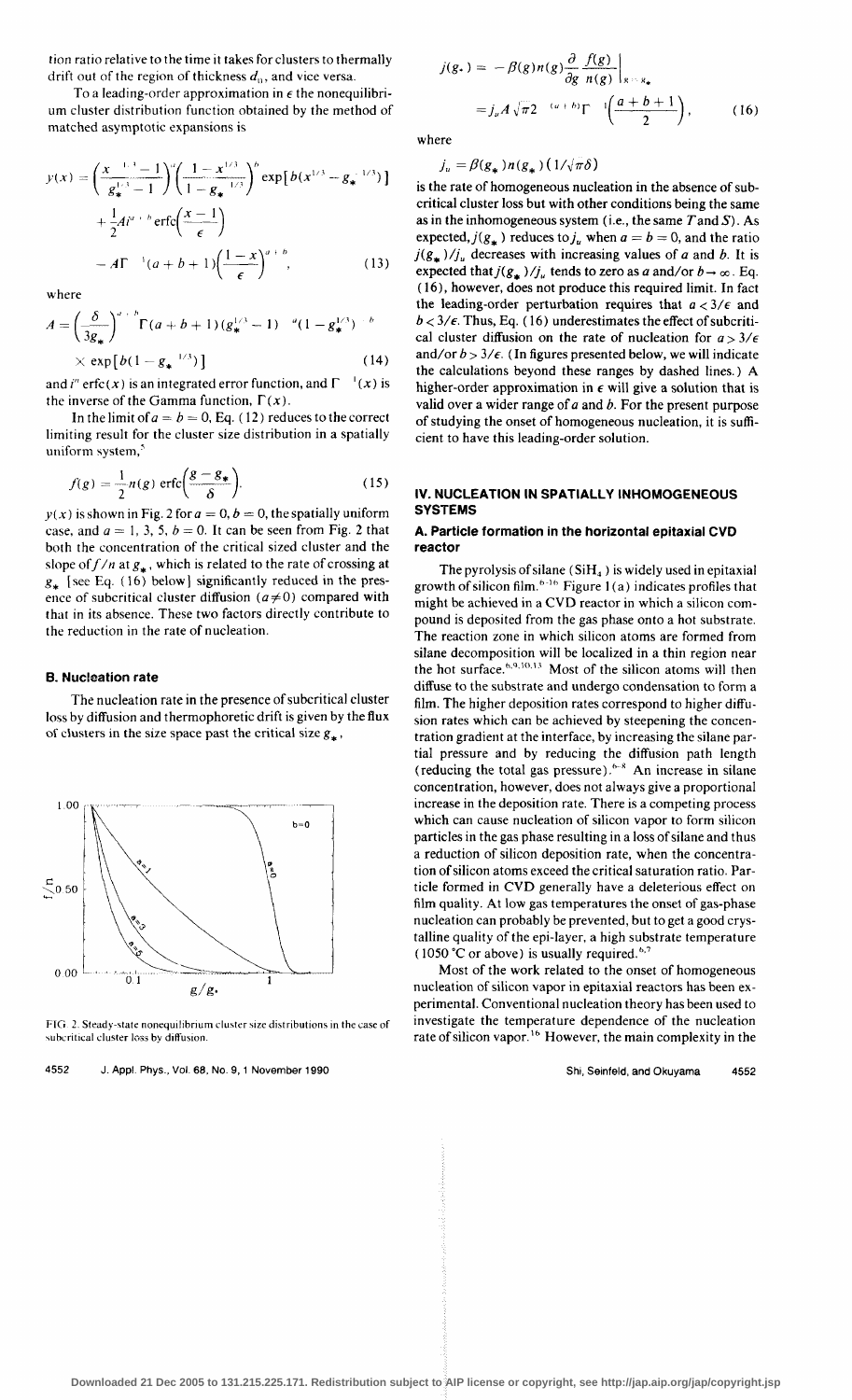tion ratio relative to the time it takes for clusters to thermally drift out of the region of thickness  $d_0$ , and vice versa.

To a leading-order approximation in  $\epsilon$  the nonequilibrium cluster distribution function obtained by the method of matched asymptotic expansions is

$$
y(x) = \left(\frac{x^{-1/3} - 1}{g_*^{1/3} - 1}\right)^a \left(\frac{1 - x^{1/3}}{1 - g_*}\right)^b \exp\left[b(x^{1/3} - g_*^{-1/3})\right] + \frac{1}{2}Ai^{a + b} \operatorname{erfc}\left(\frac{x - 1}{\epsilon}\right) - A\Gamma^{-1}(a + b + 1)\left(\frac{1 - x}{\epsilon}\right)^{a + b},\tag{13}
$$

where

$$
A = \left(\frac{\delta}{3g_*}\right)^{a+b} \Gamma(a+b+1)(g_*^{1/3} - 1) = {^a(1-g_*^{1/3})^{-b}} \times \exp[b(1-g_*^{1/3})]
$$
\n(14)

and i<sup>n</sup> erfc(x) is an integrated error function, and  $\Gamma^{-1}(x)$  is the inverse of the Gamma function,  $\Gamma(x)$ .

In the limit of  $a = b = 0$ , Eq. (12) reduces to the correct limiting result for the cluster size distribution in a spatially uniform system,<sup>5</sup>

$$
f(g) = \frac{1}{2}n(g) \operatorname{erfc}\left(\frac{g - g_*}{\delta}\right).
$$
 (15)

 $y(x)$  is shown in Fig. 2 for  $a = 0, b = 0$ , the spatially uniform case, and  $a = 1, 3, 5, b = 0$ . It can be seen from Fig. 2 that both the concentration of the critical sized cluster and the slope of  $f/n$  at  $g_*$ , which is related to the rate of crossing at  $g_*$  [see Eq. (16) below] significantly reduced in the presence of subcritical cluster diffusion ( $a \neq 0$ ) compared with that in its absence. These two factors directly contribute to the reduction in the rate of nucleation.

#### **B. Nucleation rate**

The nucleation rate in the presence of subcritical cluster loss by diffusion and thermophoretic drift is given by the flux of clusters in the size space past the critical size  $g_*$ ,



FIG. 2. Steady-state nonequilibrium cluster size distributions in the case of subcritical cluster loss by diffusion.

4552 J. Appl. Phys., Vol. 68, No.9, 1 November 1990

$$
j(g_{\ast}) = -\beta(g)n(g)\frac{\partial}{\partial g}\frac{f(g)}{n(g)}\Big|_{g \to g_{\ast}}
$$
  
=  $j_{u}A\sqrt{\pi}2^{-(u+b)}\Gamma^{-1}\left(\frac{a+b+1}{2}\right),$  (16)

where

$$
j_u = \beta(g_*) n(g_*) (1/\sqrt{\pi \delta})
$$

is the rate of homogeneous nucleation in the absence of subcritical cluster loss but with other conditions being the same as in the inhomogeneous system (i.e., the same  $T$  and  $S$ ). As expected,  $j(g_*)$  reduces to  $j_u$  when  $a = b = 0$ , and the ratio  $j(g_*)/j_u$  decreases with increasing values of a and b. It is expected that  $j(g_*)/j_u$  tends to zero as a and/or  $b \rightarrow \infty$ . Eq. ( 16), however, does not produce this required limit. In fact the leading-order perturbation requires that  $a < 3/\epsilon$  and  $b < 3/\epsilon$ . Thus, Eq. (16) underestimates the effect of subcritical cluster diffusion on the rate of nucleation for  $a > 3/\epsilon$ and/or  $b > 3/\epsilon$ . (In figures presented below, we will indicate the calculations beyond these ranges by dashed lines. ) A higher-order approximation in  $\epsilon$  will give a solution that is valid over a wider range of  $a$  and  $b$ . For the present purpose of studying the onset of homogeneous nucleation, it is sufficient to have this leading-order solution.

# **IV. NUCLEATION IN SPATIALLY INHOMOGENEOUS SYSTEMS**

# **A. Particle formation in the horizontal epitaxial CVD reactor**

The pyrolysis of silane  $(SiH<sub>4</sub>)$  is widely used in epitaxial growth of silicon film.<sup>6-16</sup> Figure 1(a) indicates profiles that might be achieved in a CVD reactor in which a silicon compound is deposited from the gas phase onto a hot substrate. The reaction zone in which silicon atoms are formed from silane decomposition will be localized in a thin region near the hot surface.  $6,9,10,13$  Most of the silicon atoms will then diffuse to the substrate and undergo condensation to form a film. The higher deposition rates correspond to higher diffusion rates which can be achieved by steepening the concentration gradient at the interface, by increasing the silane partial pressure and by reducing the diffusion path length (reducing the total gas pressure). $6-8$  An increase in silane concentration, however, does not always give a proportional increase in the deposition rate. There is a competing process which can cause nucleation of silicon vapor to form silicon particles in the gas phase resulting in a loss of silane and thus a reduction of silicon deposition rate, when the concentration of silicon atoms exceed the critical saturation ratio. Particle formed in CVD generally have a deleterious effect on film quality. At low gas temperatures the onset of gas-phase nucleation can probably be prevented, but to get a good crystalline quality of the epi-layer, a high substrate temperature  $(1050 \degree C \text{ or above})$  is usually required.<sup>6,7</sup>

Most of the work related to the onset of homogeneous nucleation of silicon vapor in epitaxial reactors has been experimental. Conventional nucleation theory has been used to investigate the temperature dependence of the nucleation rate of silicon vapor.<sup>16</sup> However, the main complexity in the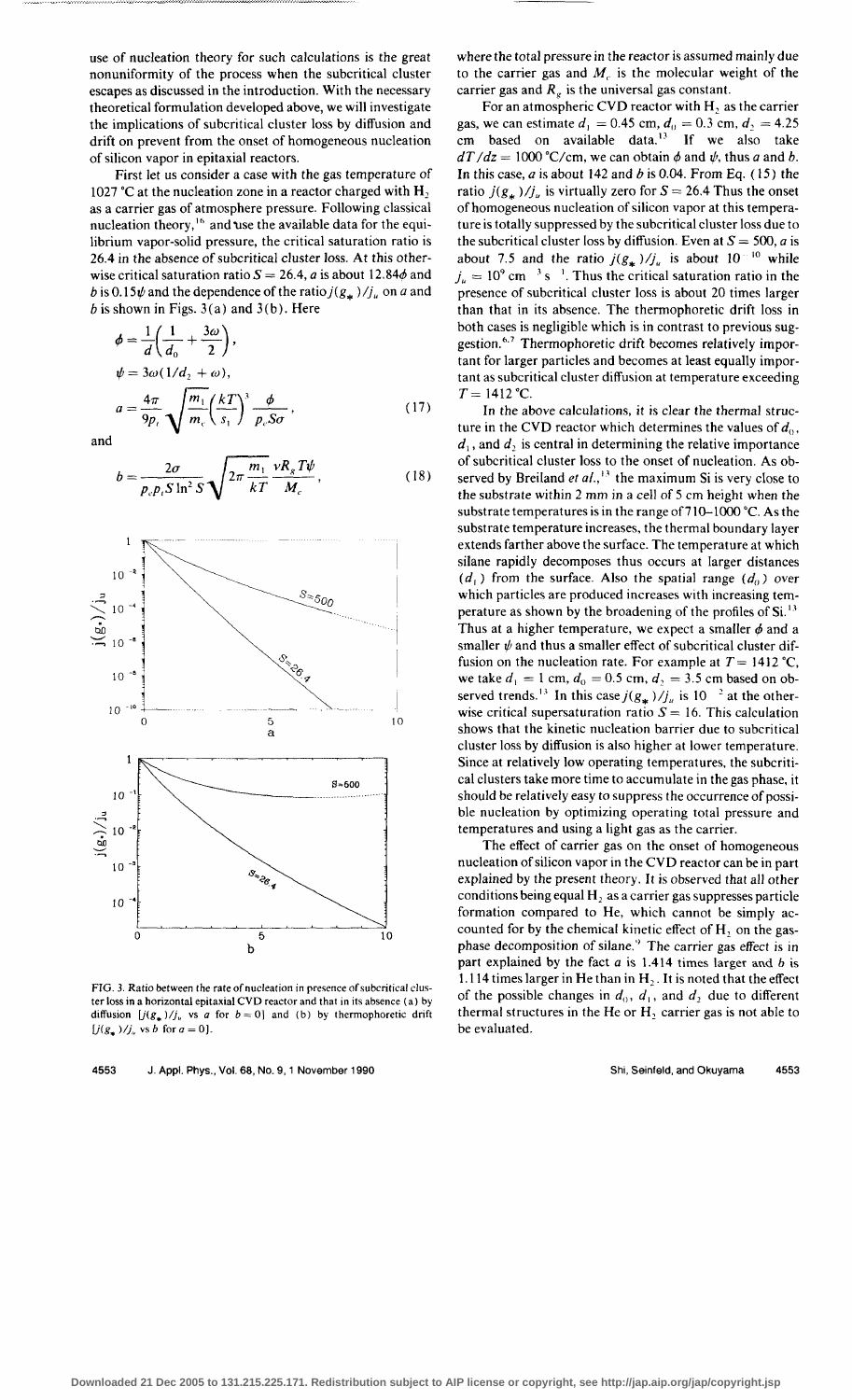use of nucleation theory for such calculations is the great nonuniformity of the process when the subcritical cluster escapes as discussed in the introduction. With the necessary theoretical formulation developed above, we will investigate the implications of subcritical cluster loss by diffusion and drift on prevent from the onset of homogeneous nucleation of silicon vapor in epitaxial reactors.

...... \_,\_\_,..\_ ... .,\_, ••• ·.·.~·-·.·.·.·.·~ .•.•.•.•.•.•.•.·········-:.:-·.·.·.·.·.:.·.···"'-'-"··:·:-:-:-:.:..:-·-·.·.·.:.:.·.·····------.,..:,.;.;.;.;.;.;u;.,;.;.:.:-:-:-:-:-·.···················.,.,.,.,.-........ •.;;..:.-;.;.\_,.\_..\_.\_.\_ .. .

First let us consider a case with the gas temperature of 1027 °C at the nucleation zone in a reactor charged with  $H_2$ as a carrier gas of atmosphere pressure. Following classical nucleation theory, 16 and use the available data for the equilibrium vapor-solid pressure, the critical saturation ratio is 26.4 in the absence of subcritical cluster loss. At this otherwise critical saturation ratio  $S = 26.4$ , a is about 12.84 $\phi$  and *b* is 0.15 $\psi$  and the dependence of the ratio  $j(g_* / j_u)$  on a and  $b$  is shown in Figs.  $3(a)$  and  $3(b)$ . Here

$$
\phi = \frac{1}{d} \left( \frac{1}{d_0} + \frac{3\omega}{2} \right),
$$
  
\n
$$
\psi = 3\omega (1/d_2 + \omega),
$$
  
\n
$$
a = \frac{4\pi}{9p_i} \sqrt{\frac{m_1}{m_c} \left( \frac{kT}{s_1} \right)^3 \frac{\phi}{p_c S \sigma}},
$$
\n(17)

and

$$
b = \frac{2\sigma}{p_c p_s S \ln^2 S} \sqrt{2\pi \frac{m_1}{kT}} \frac{vR_s T\psi}{M_c},
$$
 (18)



FIG. 3. Ratio between the rate of nucleation in presence of subcritical cluster loss in a horizontal epitaxial CVD reactor and that in its absence (a) by diffusion  $[j(g_*)/j_{\nu}$  vs *a* for  $b = 0$ ] and (b) by thermophoretic drift  $[j(g_*)/j_{a}$  vs *b* for  $a = 0$ .

4553 J. Appl. Phys., Vol. 68, No. 9, 1 November 1990

where the total pressure in the reactor is assumed mainly due to the carrier gas and  $M<sub>c</sub>$  is the molecular weight of the carrier gas and  $R_{\nu}$  is the universal gas constant.

For an atmospheric CVD reactor with  $H_2$  as the carrier gas, we can estimate  $d_1 = 0.45$  cm,  $d_0 = 0.3$  cm,  $d_2 = 4.25$ em based on available data.<sup>13</sup> If we also take  $dT/dz = 1000$  °C/cm, we can obtain  $\phi$  and  $\psi$ , thus *a* and *b*. In this case, a is about 142 and *b* is 0.04. From Eq. ( 15) the ratio  $j(g_{\star})/j_{\mu}$  is virtually zero for  $S = 26.4$  Thus the onset of homogeneous nucleation of silicon vapor at this temperature is totally suppressed by the subcritical cluster loss due to the subcritical cluster loss by diffusion. Even at  $S = 500$ , *a* is about 7.5 and the ratio  $j(g_*)/j_u$  is about 10<sup>-10</sup> while  $j_{\mu} = 10^9$  cm<sup>3</sup> s<sup>-1</sup>. Thus the critical saturation ratio in the presence of subcritical cluster loss is about 20 times larger than that in its absence. The thermophoretic drift loss in both cases is negligible which is in contrast to previous suggestion.6·7 Thermophoretic drift becomes relatively important for larger particles and becomes at least equally important as subcritical cluster diffusion at temperature exceeding  $T=$  1412 °C.

In the above calculations, it is clear the thermal structure in the CVD reactor which determines the values of  $d_0$ ,  $d_1$ , and  $d_2$  is central in determining the relative importance of subcritical cluster loss to the onset of nucleation. As observed by Breiland *et al.*,<sup>13</sup> the maximum Si is very close to the substrate within 2 mm in a cell of 5 em height when the substrate temperatures is in the range of  $710-1000$  °C. As the substrate temperature increases, the thermal boundary layer extends farther above the surface. The temperature at which silane rapidly decomposes thus occurs at larger distances  $(d_1)$  from the surface. Also the spatial range  $(d_0)$  over which particles are produced increases with increasing temperature as shown by the broadening of the profiles of Si. <sup>13</sup> Thus at a higher temperature, we expect a smaller  $\phi$  and a smaller  $\psi$  and thus a smaller effect of subcritical cluster diffusion on the nucleation rate. For example at  $T = 1412$  °C, we take  $d_1 = 1$  cm,  $d_0 = 0.5$  cm,  $d_2 = 3.5$  cm based on observed trends.<sup>13</sup> In this case  $j(g_*)/j_u$  is 10 <sup>2</sup> at the otherwise critical supersaturation ratio  $S = 16$ . This calculation shows that the kinetic nucleation barrier due to subcritical cluster loss by diffusion is also higher at lower temperature. Since at relatively low operating temperatures, the subcritical clusters take more time to accumulate in the gas phase, it should be relatively easy to suppress the occurrence of possible nucleation by optimizing operating total pressure and temperatures and using a light gas as the carrier.

The effect of carrier gas on the onset of homogeneous nucleation of silicon vapor in the CVD reactor can be in part explained by the present theory. It is observed that all other conditions being equal **H2** as a carrier gas suppresses particle formation compared to He, which cannot be simply accounted for by the chemical kinetic effect of H<sub>2</sub> on the gasphase decomposition of silane." The carrier gas effect is in part explained by the fact a is 1.414 times larger and *b* is 1.114 times larger in He than in  $H_2$ . It is noted that the effect of the possible changes in  $d_0$ ,  $d_1$ , and  $d_2$  due to different thermal structures in the He or  $H_2$  carrier gas is not able to be evaluated.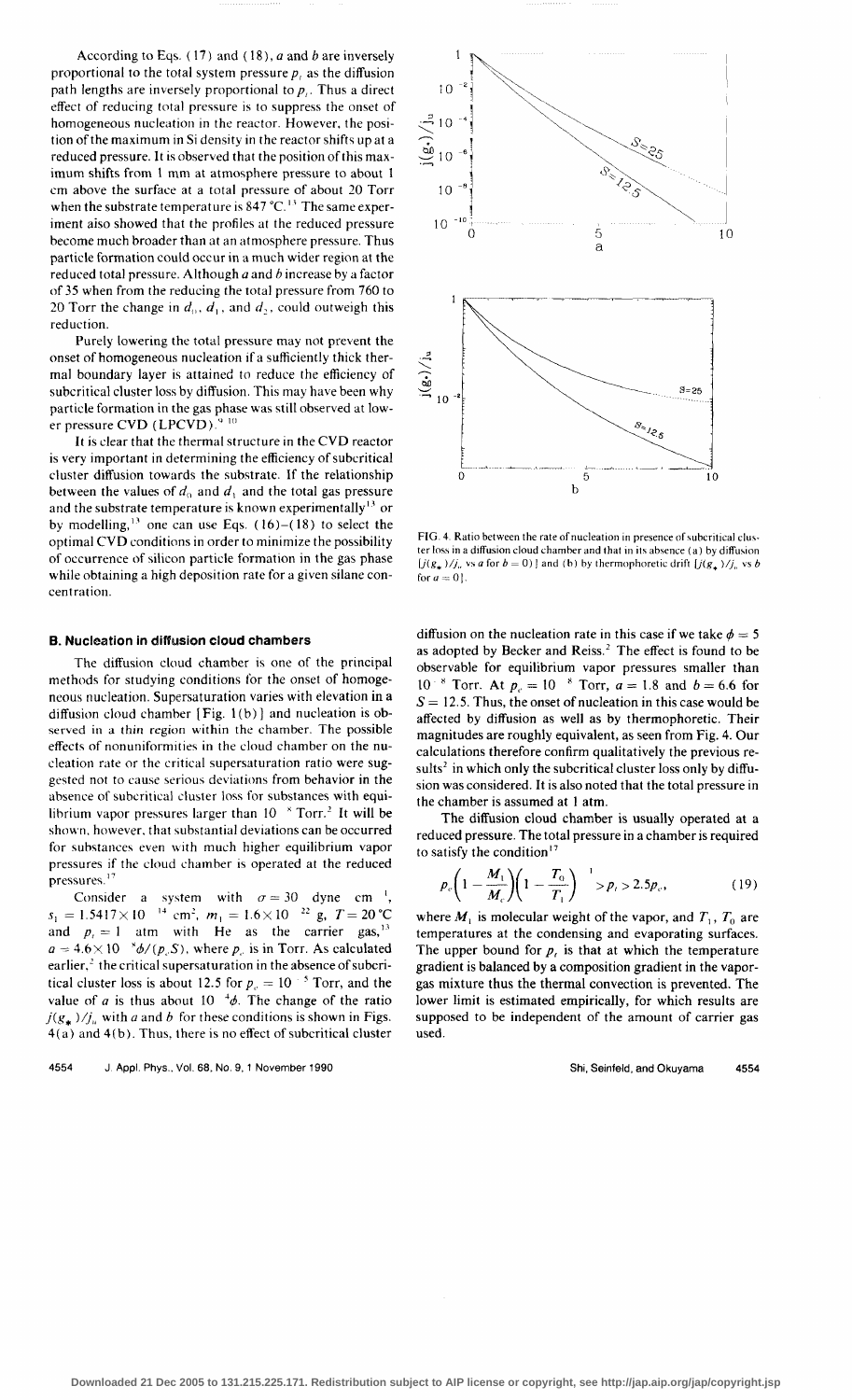According to Eqs. (17) and (18), *a* and *b* are inversely proportional to the total system pressure  $p_i$  as the diffusion path lengths are inversely proportional *top,.* Thus a direct effect of reducing total pressure is to suppress the onset of homogeneous nucleation in the reactor. However, the position of the maximum in Si density in the reactor shifts up at a reduced pressure. It is observed that the position of this maximum shifts from I mm at atmosphere pressure to about I em above the surface at a total pressure of about 20 Torr when the substrate temperature is 847 °C.<sup>13</sup> The same experiment aiso showed that the profiles at the reduced pressure become much broader than at an atmosphere pressure. Thus particle formation could occur in a much wider region at the reduced total pressure. Although *a* and *b* increase by a factor of 35 when from the reducing the total pressure from 760 to 20 Torr the change in  $d_0$ ,  $d_1$ , and  $d_2$ , could outweigh this reduction.

Purely lowering the total pressure may not prevent the onset of homogeneous nucleation if a sufficiently thick thermal boundary layer is attained to reduce the efficiency of subcritical cluster loss by diffusion. This may have been why particle formation in the gas phase was still observed at lower pressure CVD (LPCVD).<sup>9-10</sup>

It is clear that the thermal structure in the CVD reactor is very important in determining the efficiency of subcritical cluster diffusion towards the substrate. If the relationship between the values of  $d_0$  and  $d_1$  and the total gas pressure and the substrate temperature is known experimentally<sup>13</sup> or by modelling,  $13$  one can use Eqs. (16)–(18) to select the optimal CVD conditions in order to minimize the possibility of occurrence of silicon particle formation in the gas phase while obtaining a high deposition rate for a given silane concentration.

## **B. Nucleation in diffusion cloud chambers**

The diffusion cloud chamber is one of the principal methods for studying conditions for the onset of homogeneous nucleation. Supersaturation varies with elevation in a diffusion cloud chamber [Fig. 1 (b)] and nucleation is observed in a thin region within the chamber. The possible effects of nonuniformities in the cloud chamber on the nucleation rate or the critical supersaturation ratio were suggested not to cause serious deviations from behavior in the absence of subcritical cluster loss for substances with equilibrium vapor pressures larger than 10<sup>%</sup> Torr.<sup>2</sup> It will be shown. however. that substantial deviations can be occurred for substances even with much higher equilibrium vapor pressures if the cloud chamber is operated at the reduced pressures.<sup>17</sup>

Consider a system with  $\sigma = 30$  dyne cm<sup>-1</sup> ,  $s_1 = 1.5417 \times 10^{-14}$  cm<sup>2</sup>,  $m_1 = 1.6 \times 10^{-22}$  g,  $T = 20$  °C and  $p_i = 1$  atm with He as the carrier gas,<sup>13</sup>  $a = 4.6 \times 10^{-8} \phi/(p_cS)$ , where  $p_c$  is in Torr. As calculated earlier,<sup>2</sup> the critical supersaturation in the absence of subcritical cluster loss is about 12.5 for  $p_e = 10^{-5}$  Torr, and the value of *a* is thus about 10  $^{+}\phi$ . The change of the ratio  $j(g_{\star})/j_{\mu}$  with a and b for these conditions is shown in Figs.  $4(a)$  and  $4(b)$ . Thus, there is no effect of subcritical cluster

4554 J. Appl. Phys .. Vol. 68, No.9, 1 November 1990



FIG. 4. Ratio between the rate of nucleation in presence of subcritical cluster loss in a diffusion cloud chamber and that in its absence (a) by diffusion  $[y(g_*)/j_{\nu}$  vs *a* for  $b=0$ ) and (b) by thermophoretic drift  $[y(g_*)/j_{\nu}$  vs *b* for  $a=0$ ].

diffusion on the nucleation rate in this case if we take  $\phi = 5$ as adopted by Becker and Reiss.<sup>2</sup> The effect is found to be observable for equilibrium vapor pressures smaller than 10<sup>8</sup> Torr. At  $p_c = 10^{-8}$  Torr,  $a = 1.8$  and  $b = 6.6$  for  $S = 12.5$ . Thus, the onset of nucleation in this case would be affected by diffusion as well as by thermophoretic. Their magnitudes are roughly equivalent, as seen from Fig. 4. Our calculations therefore confirm qualitatively the previous results<sup>2</sup> in which only the subcritical cluster loss only by diffusion was considered. It is also noted that the total pressure in the chamber is assumed at 1 atm.

The diffusion cloud chamber is usually operated at a reduced pressure. The total pressure in a chamber is required to satisfy the condition<sup>17</sup>

$$
p_c \left(1 - \frac{M_1}{M_c}\right) \left(1 - \frac{T_0}{T_1}\right)^{-1} > p_t > 2.5 p_c,
$$
 (19)

where  $M_1$  is molecular weight of the vapor, and  $T_1$ ,  $T_0$  are temperatures at the condensing and evaporating surfaces. The upper bound for  $p_i$  is that at which the temperature gradient is balanced by a composition gradient in the vaporgas mixture thus the thermal convection is prevented. The lower limit is estimated empirically, for which results are supposed to be independent of the amount of carrier gas used.